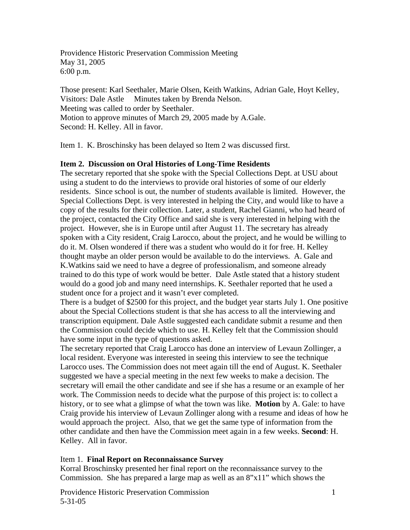Providence Historic Preservation Commission Meeting May 31, 2005 6:00 p.m.

Those present: Karl Seethaler, Marie Olsen, Keith Watkins, Adrian Gale, Hoyt Kelley, Visitors: Dale Astle Minutes taken by Brenda Nelson. Meeting was called to order by Seethaler. Motion to approve minutes of March 29, 2005 made by A.Gale. Second: H. Kelley. All in favor.

Item 1. K. Broschinsky has been delayed so Item 2 was discussed first.

## **Item 2. Discussion on Oral Histories of Long-Time Residents**

The secretary reported that she spoke with the Special Collections Dept. at USU about using a student to do the interviews to provide oral histories of some of our elderly residents. Since school is out, the number of students available is limited. However, the Special Collections Dept. is very interested in helping the City, and would like to have a copy of the results for their collection. Later, a student, Rachel Gianni, who had heard of the project, contacted the City Office and said she is very interested in helping with the project. However, she is in Europe until after August 11. The secretary has already spoken with a City resident, Craig Larocco, about the project, and he would be willing to do it. M. Olsen wondered if there was a student who would do it for free. H. Kelley thought maybe an older person would be available to do the interviews. A. Gale and K.Watkins said we need to have a degree of professionalism, and someone already trained to do this type of work would be better. Dale Astle stated that a history student would do a good job and many need internships. K. Seethaler reported that he used a student once for a project and it wasn't ever completed.

There is a budget of \$2500 for this project, and the budget year starts July 1. One positive about the Special Collections student is that she has access to all the interviewing and transcription equipment. Dale Astle suggested each candidate submit a resume and then the Commission could decide which to use. H. Kelley felt that the Commission should have some input in the type of questions asked.

The secretary reported that Craig Larocco has done an interview of Levaun Zollinger, a local resident. Everyone was interested in seeing this interview to see the technique Larocco uses. The Commission does not meet again till the end of August. K. Seethaler suggested we have a special meeting in the next few weeks to make a decision. The secretary will email the other candidate and see if she has a resume or an example of her work. The Commission needs to decide what the purpose of this project is: to collect a history, or to see what a glimpse of what the town was like. **Motion** by A. Gale: to have Craig provide his interview of Levaun Zollinger along with a resume and ideas of how he would approach the project. Also, that we get the same type of information from the other candidate and then have the Commission meet again in a few weeks. **Second**: H. Kelley. All in favor.

## Item 1. **Final Report on Reconnaissance Survey**

Korral Broschinsky presented her final report on the reconnaissance survey to the Commission. She has prepared a large map as well as an 8"x11" which shows the